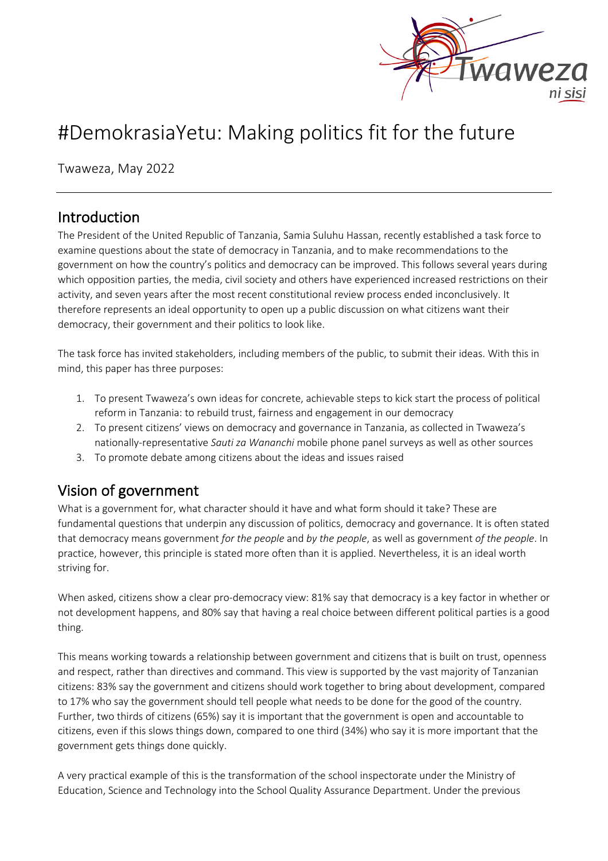

# #DemokrasiaYetu: Making politics fit for the future

Twaweza, May 2022

### Introduction

The President of the United Republic of Tanzania, Samia Suluhu Hassan, recently established a task force to examine questions about the state of democracy in Tanzania, and to make recommendations to the government on how the country's politics and democracy can be improved. This follows several years during which opposition parties, the media, civil society and others have experienced increased restrictions on their activity, and seven years after the most recent constitutional review process ended inconclusively. It therefore represents an ideal opportunity to open up a public discussion on what citizens want their democracy, their government and their politics to look like.

The task force has invited stakeholders, including members of the public, to submit their ideas. With this in mind, this paper has three purposes:

- 1. To present Twaweza's own ideas for concrete, achievable steps to kick start the process of political reform in Tanzania: to rebuild trust, fairness and engagement in our democracy
- 2. To present citizens' views on democracy and governance in Tanzania, as collected in Twaweza's nationally-representative *Sauti za Wananchi* mobile phone panel surveys as well as other sources
- 3. To promote debate among citizens about the ideas and issues raised

## Vision of government

What is a government for, what character should it have and what form should it take? These are fundamental questions that underpin any discussion of politics, democracy and governance. It is often stated that democracy means government *for the people* and *by the people*, as well as government *of the people*. In practice, however, this principle is stated more often than it is applied. Nevertheless, it is an ideal worth striving for.

When asked, citizens show a clear pro-democracy view: 81% say that democracy is a key factor in whether or not development happens, and 80% say that having a real choice between different political parties is a good thing.

This means working towards a relationship between government and citizens that is built on trust, openness and respect, rather than directives and command. This view is supported by the vast majority of Tanzanian citizens: 83% say the government and citizens should work together to bring about development, compared to 17% who say the government should tell people what needs to be done for the good of the country. Further, two thirds of citizens (65%) say it is important that the government is open and accountable to citizens, even if this slows things down, compared to one third (34%) who say it is more important that the government gets things done quickly.

A very practical example of this is the transformation of the school inspectorate under the Ministry of Education, Science and Technology into the School Quality Assurance Department. Under the previous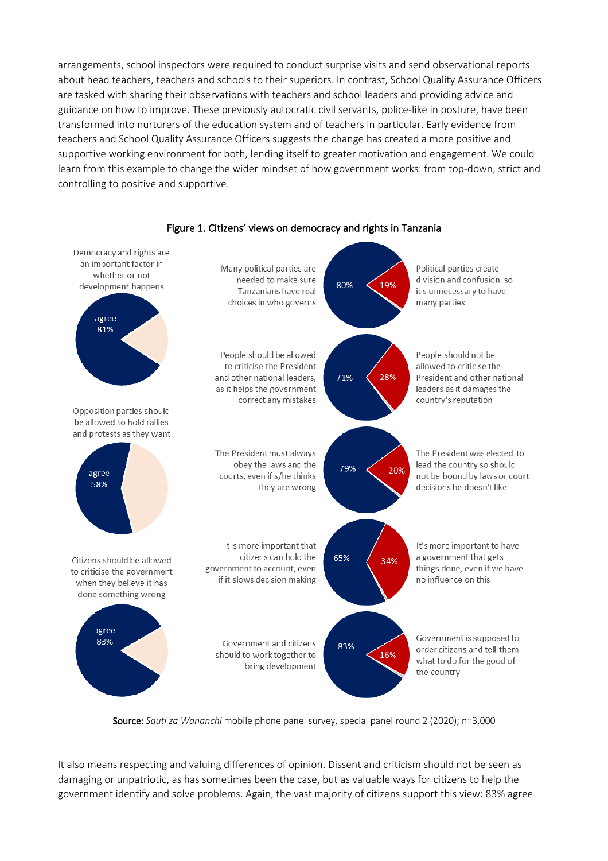arrangements, school inspectors were required to conduct surprise visits and send observational reports about head teachers, teachers and schools to their superiors. In contrast, School Quality Assurance Officers are tasked with sharing their observations with teachers and school leaders and providing advice and guidance on how to improve. These previously autocratic civil servants, police-like in posture, have been transformed into nurturers of the education system and of teachers in particular. Early evidence from teachers and School Quality Assurance Officers suggests the change has created a more positive and supportive working environment for both, lending itself to greater motivation and engagement. We could learn from this example to change the wider mindset of how government works: from top-down, strict and controlling to positive and supportive.



#### Figure 1. Citizens' views on democracy and rights in Tanzania

Source: *Sauti za Wananchi* mobile phone panel survey, special panel round 2 (2020); n=3,000

It also means respecting and valuing differences of opinion. Dissent and criticism should not be seen as damaging or unpatriotic, as has sometimes been the case, but as valuable ways for citizens to help the government identify and solve problems. Again, the vast majority of citizens support this view: 83% agree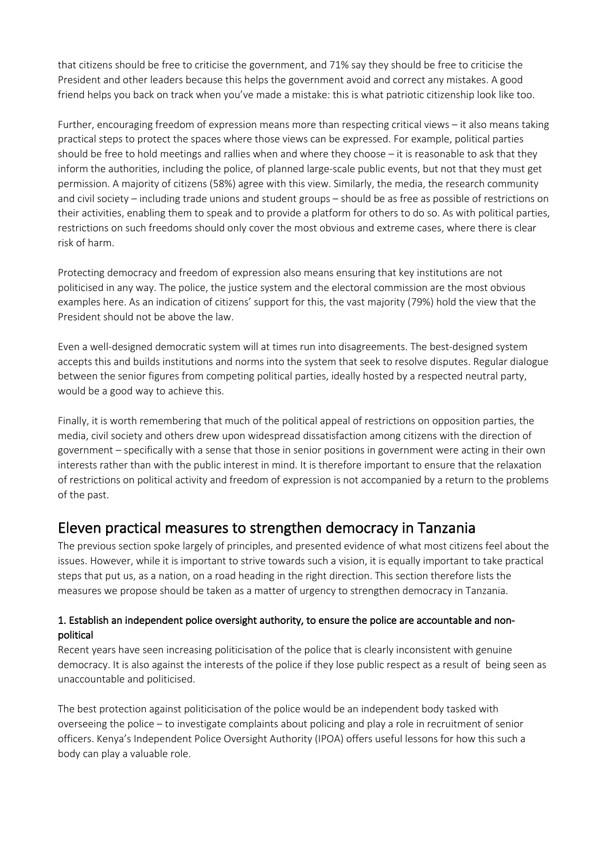that citizens should be free to criticise the government, and 71% say they should be free to criticise the President and other leaders because this helps the government avoid and correct any mistakes. A good friend helps you back on track when you've made a mistake: this is what patriotic citizenship look like too.

Further, encouraging freedom of expression means more than respecting critical views – it also means taking practical steps to protect the spaces where those views can be expressed. For example, political parties should be free to hold meetings and rallies when and where they choose – it is reasonable to ask that they inform the authorities, including the police, of planned large-scale public events, but not that they must get permission. A majority of citizens (58%) agree with this view. Similarly, the media, the research community and civil society – including trade unions and student groups – should be as free as possible of restrictions on their activities, enabling them to speak and to provide a platform for others to do so. As with political parties, restrictions on such freedoms should only cover the most obvious and extreme cases, where there is clear risk of harm.

Protecting democracy and freedom of expression also means ensuring that key institutions are not politicised in any way. The police, the justice system and the electoral commission are the most obvious examples here. As an indication of citizens' support for this, the vast majority (79%) hold the view that the President should not be above the law.

Even a well-designed democratic system will at times run into disagreements. The best-designed system accepts this and builds institutions and norms into the system that seek to resolve disputes. Regular dialogue between the senior figures from competing political parties, ideally hosted by a respected neutral party, would be a good way to achieve this.

Finally, it is worth remembering that much of the political appeal of restrictions on opposition parties, the media, civil society and others drew upon widespread dissatisfaction among citizens with the direction of government – specifically with a sense that those in senior positions in government were acting in their own interests rather than with the public interest in mind. It is therefore important to ensure that the relaxation of restrictions on political activity and freedom of expression is not accompanied by a return to the problems of the past.

### Eleven practical measures to strengthen democracy in Tanzania

The previous section spoke largely of principles, and presented evidence of what most citizens feel about the issues. However, while it is important to strive towards such a vision, it is equally important to take practical steps that put us, as a nation, on a road heading in the right direction. This section therefore lists the measures we propose should be taken as a matter of urgency to strengthen democracy in Tanzania.

#### 1. Establish an independent police oversight authority, to ensure the police are accountable and nonpolitical

Recent years have seen increasing politicisation of the police that is clearly inconsistent with genuine democracy. It is also against the interests of the police if they lose public respect as a result of being seen as unaccountable and politicised.

The best protection against politicisation of the police would be an independent body tasked with overseeing the police – to investigate complaints about policing and play a role in recruitment of senior officers. Kenya's Independent Police Oversight Authority (IPOA) offers useful lessons for how this such a body can play a valuable role.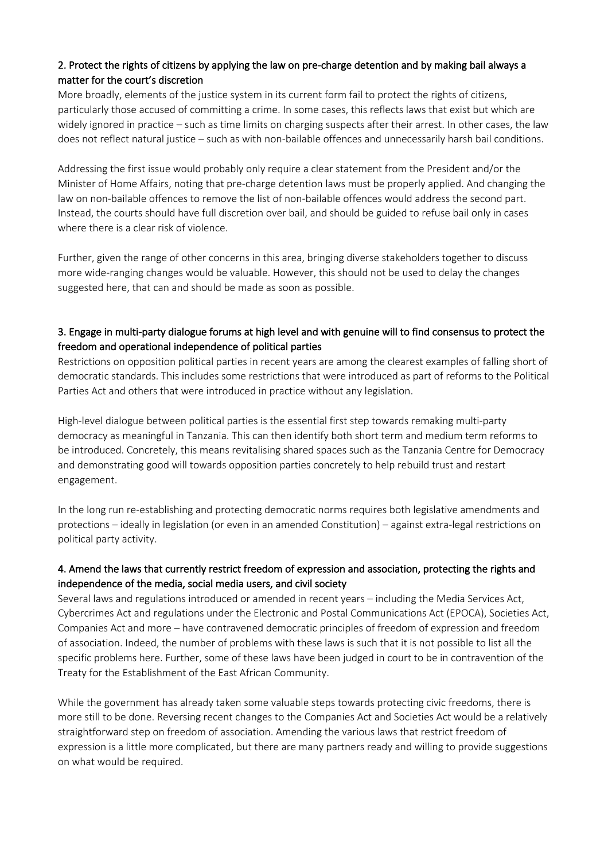### 2. Protect the rights of citizens by applying the law on pre-charge detention and by making bail always a matter for the court's discretion

More broadly, elements of the justice system in its current form fail to protect the rights of citizens, particularly those accused of committing a crime. In some cases, this reflects laws that exist but which are widely ignored in practice – such as time limits on charging suspects after their arrest. In other cases, the law does not reflect natural justice – such as with non-bailable offences and unnecessarily harsh bail conditions.

Addressing the first issue would probably only require a clear statement from the President and/or the Minister of Home Affairs, noting that pre-charge detention laws must be properly applied. And changing the law on non-bailable offences to remove the list of non-bailable offences would address the second part. Instead, the courts should have full discretion over bail, and should be guided to refuse bail only in cases where there is a clear risk of violence.

Further, given the range of other concerns in this area, bringing diverse stakeholders together to discuss more wide-ranging changes would be valuable. However, this should not be used to delay the changes suggested here, that can and should be made as soon as possible.

#### 3. Engage in multi-party dialogue forums at high level and with genuine will to find consensus to protect the freedom and operational independence of political parties

Restrictions on opposition political parties in recent years are among the clearest examples of falling short of democratic standards. This includes some restrictions that were introduced as part of reforms to the Political Parties Act and others that were introduced in practice without any legislation.

High-level dialogue between political parties is the essential first step towards remaking multi-party democracy as meaningful in Tanzania. This can then identify both short term and medium term reforms to be introduced. Concretely, this means revitalising shared spaces such as the Tanzania Centre for Democracy and demonstrating good will towards opposition parties concretely to help rebuild trust and restart engagement.

In the long run re-establishing and protecting democratic norms requires both legislative amendments and protections – ideally in legislation (or even in an amended Constitution) – against extra-legal restrictions on political party activity.

#### 4. Amend the laws that currently restrict freedom of expression and association, protecting the rights and independence of the media, social media users, and civil society

Several laws and regulations introduced or amended in recent years – including the Media Services Act, Cybercrimes Act and regulations under the Electronic and Postal Communications Act (EPOCA), Societies Act, Companies Act and more – have contravened democratic principles of freedom of expression and freedom of association. Indeed, the number of problems with these laws is such that it is not possible to list all the specific problems here. Further, some of these laws have been judged in court to be in contravention of the Treaty for the Establishment of the East African Community.

While the government has already taken some valuable steps towards protecting civic freedoms, there is more still to be done. Reversing recent changes to the Companies Act and Societies Act would be a relatively straightforward step on freedom of association. Amending the various laws that restrict freedom of expression is a little more complicated, but there are many partners ready and willing to provide suggestions on what would be required.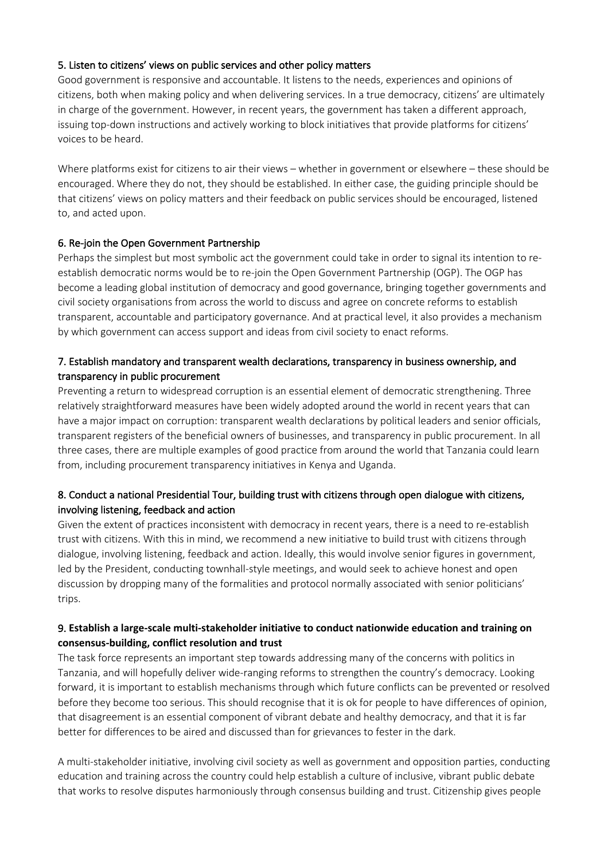#### 5. Listen to citizens' views on public services and other policy matters

Good government is responsive and accountable. It listens to the needs, experiences and opinions of citizens, both when making policy and when delivering services. In a true democracy, citizens' are ultimately in charge of the government. However, in recent years, the government has taken a different approach, issuing top-down instructions and actively working to block initiatives that provide platforms for citizens' voices to be heard.

Where platforms exist for citizens to air their views – whether in government or elsewhere – these should be encouraged. Where they do not, they should be established. In either case, the guiding principle should be that citizens' views on policy matters and their feedback on public services should be encouraged, listened to, and acted upon.

#### 6. Re-join the Open Government Partnership

Perhaps the simplest but most symbolic act the government could take in order to signal its intention to reestablish democratic norms would be to re-join the Open Government Partnership (OGP). The OGP has become a leading global institution of democracy and good governance, bringing together governments and civil society organisations from across the world to discuss and agree on concrete reforms to establish transparent, accountable and participatory governance. And at practical level, it also provides a mechanism by which government can access support and ideas from civil society to enact reforms.

#### 7. Establish mandatory and transparent wealth declarations, transparency in business ownership, and transparency in public procurement

Preventing a return to widespread corruption is an essential element of democratic strengthening. Three relatively straightforward measures have been widely adopted around the world in recent years that can have a major impact on corruption: transparent wealth declarations by political leaders and senior officials, transparent registers of the beneficial owners of businesses, and transparency in public procurement. In all three cases, there are multiple examples of good practice from around the world that Tanzania could learn from, including procurement transparency initiatives in Kenya and Uganda.

#### 8. Conduct a national Presidential Tour, building trust with citizens through open dialogue with citizens, involving listening, feedback and action

Given the extent of practices inconsistent with democracy in recent years, there is a need to re-establish trust with citizens. With this in mind, we recommend a new initiative to build trust with citizens through dialogue, involving listening, feedback and action. Ideally, this would involve senior figures in government, led by the President, conducting townhall-style meetings, and would seek to achieve honest and open discussion by dropping many of the formalities and protocol normally associated with senior politicians' trips.

#### 9. **Establish a large-scale multi-stakeholder initiative to conduct nationwide education and training on consensus-building, conflict resolution and trust**

The task force represents an important step towards addressing many of the concerns with politics in Tanzania, and will hopefully deliver wide-ranging reforms to strengthen the country's democracy. Looking forward, it is important to establish mechanisms through which future conflicts can be prevented or resolved before they become too serious. This should recognise that it is ok for people to have differences of opinion, that disagreement is an essential component of vibrant debate and healthy democracy, and that it is far better for differences to be aired and discussed than for grievances to fester in the dark.

A multi-stakeholder initiative, involving civil society as well as government and opposition parties, conducting education and training across the country could help establish a culture of inclusive, vibrant public debate that works to resolve disputes harmoniously through consensus building and trust. Citizenship gives people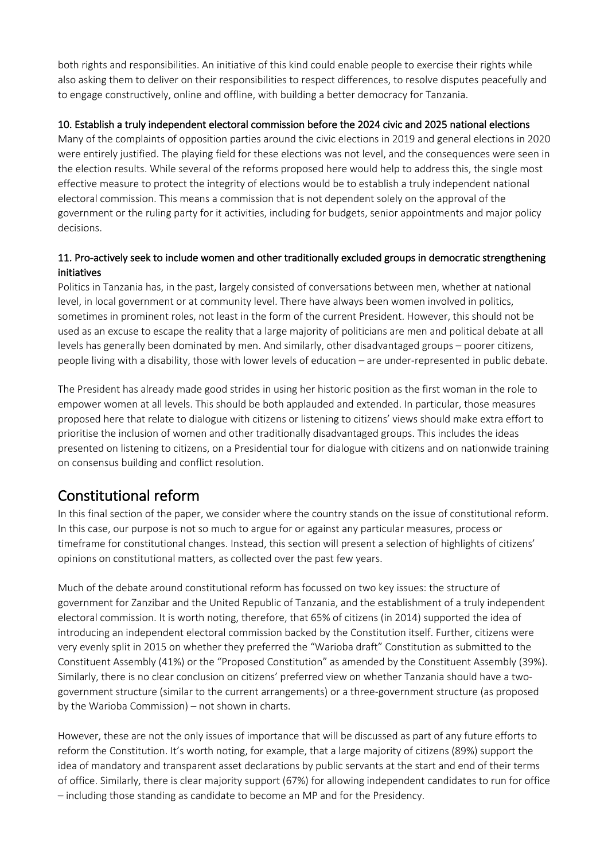both rights and responsibilities. An initiative of this kind could enable people to exercise their rights while also asking them to deliver on their responsibilities to respect differences, to resolve disputes peacefully and to engage constructively, online and offline, with building a better democracy for Tanzania.

#### 10. Establish a truly independent electoral commission before the 2024 civic and 2025 national elections

Many of the complaints of opposition parties around the civic elections in 2019 and general elections in 2020 were entirely justified. The playing field for these elections was not level, and the consequences were seen in the election results. While several of the reforms proposed here would help to address this, the single most effective measure to protect the integrity of elections would be to establish a truly independent national electoral commission. This means a commission that is not dependent solely on the approval of the government or the ruling party for it activities, including for budgets, senior appointments and major policy decisions.

#### 11. Pro-actively seek to include women and other traditionally excluded groups in democratic strengthening initiatives

Politics in Tanzania has, in the past, largely consisted of conversations between men, whether at national level, in local government or at community level. There have always been women involved in politics, sometimes in prominent roles, not least in the form of the current President. However, this should not be used as an excuse to escape the reality that a large majority of politicians are men and political debate at all levels has generally been dominated by men. And similarly, other disadvantaged groups – poorer citizens, people living with a disability, those with lower levels of education – are under-represented in public debate.

The President has already made good strides in using her historic position as the first woman in the role to empower women at all levels. This should be both applauded and extended. In particular, those measures proposed here that relate to dialogue with citizens or listening to citizens' views should make extra effort to prioritise the inclusion of women and other traditionally disadvantaged groups. This includes the ideas presented on listening to citizens, on a Presidential tour for dialogue with citizens and on nationwide training on consensus building and conflict resolution.

## Constitutional reform

In this final section of the paper, we consider where the country stands on the issue of constitutional reform. In this case, our purpose is not so much to argue for or against any particular measures, process or timeframe for constitutional changes. Instead, this section will present a selection of highlights of citizens' opinions on constitutional matters, as collected over the past few years.

Much of the debate around constitutional reform has focussed on two key issues: the structure of government for Zanzibar and the United Republic of Tanzania, and the establishment of a truly independent electoral commission. It is worth noting, therefore, that 65% of citizens (in 2014) supported the idea of introducing an independent electoral commission backed by the Constitution itself. Further, citizens were very evenly split in 2015 on whether they preferred the "Warioba draft" Constitution as submitted to the Constituent Assembly (41%) or the "Proposed Constitution" as amended by the Constituent Assembly (39%). Similarly, there is no clear conclusion on citizens' preferred view on whether Tanzania should have a twogovernment structure (similar to the current arrangements) or a three-government structure (as proposed by the Warioba Commission) – not shown in charts.

However, these are not the only issues of importance that will be discussed as part of any future efforts to reform the Constitution. It's worth noting, for example, that a large majority of citizens (89%) support the idea of mandatory and transparent asset declarations by public servants at the start and end of their terms of office. Similarly, there is clear majority support (67%) for allowing independent candidates to run for office – including those standing as candidate to become an MP and for the Presidency.